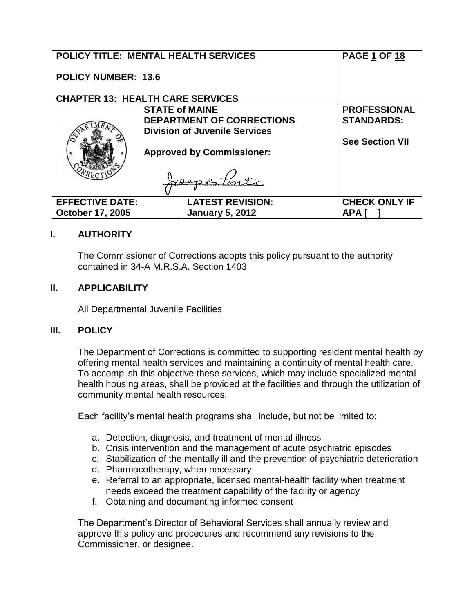| <b>POLICY TITLE: MENTAL HEALTH SERVICES</b> |                                         | <b>PAGE 1 OF 18</b>    |
|---------------------------------------------|-----------------------------------------|------------------------|
| <b>POLICY NUMBER: 13.6</b>                  |                                         |                        |
|                                             | <b>CHAPTER 13: HEALTH CARE SERVICES</b> |                        |
|                                             | <b>STATE of MAINE</b>                   | <b>PROFESSIONAL</b>    |
|                                             | <b>DEPARTMENT OF CORRECTIONS</b>        | <b>STANDARDS:</b>      |
|                                             | <b>Division of Juvenile Services</b>    |                        |
|                                             |                                         | <b>See Section VII</b> |
|                                             | <b>Approved by Commissioner:</b>        |                        |
|                                             |                                         |                        |
|                                             |                                         |                        |
|                                             |                                         |                        |
| <b>EFFECTIVE DATE:</b>                      | <b>LATEST REVISION:</b>                 | <b>CHECK ONLY IF</b>   |
| <b>October 17, 2005</b>                     | <b>January 5, 2012</b>                  | <b>APA</b>             |
|                                             |                                         |                        |

## **I. AUTHORITY**

The Commissioner of Corrections adopts this policy pursuant to the authority contained in 34-A M.R.S.A. Section 1403

#### **II. APPLICABILITY**

All Departmental Juvenile Facilities

#### **III. POLICY**

The Department of Corrections is committed to supporting resident mental health by offering mental health services and maintaining a continuity of mental health care. To accomplish this objective these services, which may include specialized mental health housing areas, shall be provided at the facilities and through the utilization of community mental health resources.

Each facility's mental health programs shall include, but not be limited to:

- a. Detection, diagnosis, and treatment of mental illness
- b. Crisis intervention and the management of acute psychiatric episodes
- c. Stabilization of the mentally ill and the prevention of psychiatric deterioration
- d. Pharmacotherapy, when necessary
- e. Referral to an appropriate, licensed mental-health facility when treatment needs exceed the treatment capability of the facility or agency
- f. Obtaining and documenting informed consent

The Department's Director of Behavioral Services shall annually review and approve this policy and procedures and recommend any revisions to the Commissioner, or designee.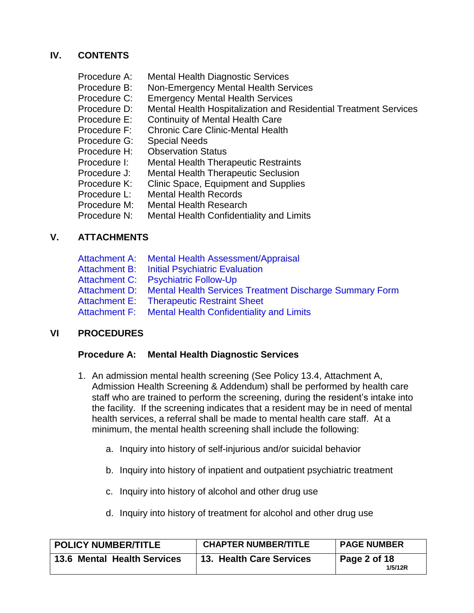## **IV. CONTENTS**

| Procedure A: | <b>Mental Health Diagnostic Services</b>                         |
|--------------|------------------------------------------------------------------|
| Procedure B: | Non-Emergency Mental Health Services                             |
| Procedure C: | <b>Emergency Mental Health Services</b>                          |
| Procedure D: | Mental Health Hospitalization and Residential Treatment Services |
| Procedure E: | <b>Continuity of Mental Health Care</b>                          |
| Procedure F: | <b>Chronic Care Clinic-Mental Health</b>                         |
| Procedure G: | <b>Special Needs</b>                                             |
| Procedure H: | <b>Observation Status</b>                                        |
| Procedure I: | <b>Mental Health Therapeutic Restraints</b>                      |
| Procedure J: | <b>Mental Health Therapeutic Seclusion</b>                       |
| Procedure K: | Clinic Space, Equipment and Supplies                             |
| Procedure L: | <b>Mental Health Records</b>                                     |
| Procedure M: | <b>Mental Health Research</b>                                    |
| Procedure N: | Mental Health Confidentiality and Limits                         |

## **V. ATTACHMENTS**

| Attachment A: Mental Health Assessment/Appraisal                      |
|-----------------------------------------------------------------------|
| <b>Attachment B: Initial Psychiatric Evaluation</b>                   |
| Attachment C: Psychiatric Follow-Up                                   |
| Attachment D: Mental Health Services Treatment Discharge Summary Form |
| <b>Attachment E: Therapeutic Restraint Sheet</b>                      |
| Attachment F: Mental Health Confidentiality and Limits                |
|                                                                       |

# **VI PROCEDURES**

#### **Procedure A: Mental Health Diagnostic Services**

- 1. An admission mental health screening (See Policy 13.4, Attachment A, Admission Health Screening & Addendum) shall be performed by health care staff who are trained to perform the screening, during the resident's intake into the facility. If the screening indicates that a resident may be in need of mental health services, a referral shall be made to mental health care staff. At a minimum, the mental health screening shall include the following:
	- a. Inquiry into history of self-injurious and/or suicidal behavior
	- b. Inquiry into history of inpatient and outpatient psychiatric treatment
	- c. Inquiry into history of alcohol and other drug use
	- d. Inquiry into history of treatment for alcohol and other drug use

| <b>POLICY NUMBER/TITLE</b>         | <b>CHAPTER NUMBER/TITLE</b>     | <b>PAGE NUMBER</b>                     |
|------------------------------------|---------------------------------|----------------------------------------|
| <b>13.6 Mental Health Services</b> | <b>13. Health Care Services</b> | $\overline{ }$ Page 2 of 18<br>1/5/12R |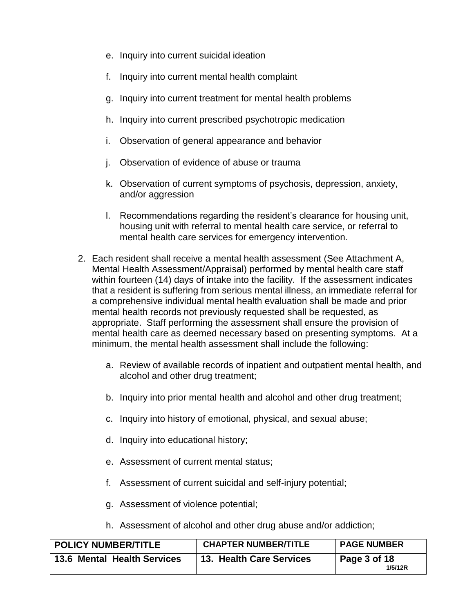- e. Inquiry into current suicidal ideation
- f. Inquiry into current mental health complaint
- g. Inquiry into current treatment for mental health problems
- h. Inquiry into current prescribed psychotropic medication
- i. Observation of general appearance and behavior
- j. Observation of evidence of abuse or trauma
- k. Observation of current symptoms of psychosis, depression, anxiety, and/or aggression
- l. Recommendations regarding the resident's clearance for housing unit, housing unit with referral to mental health care service, or referral to mental health care services for emergency intervention.
- 2. Each resident shall receive a mental health assessment (See Attachment A, Mental Health Assessment/Appraisal) performed by mental health care staff within fourteen (14) days of intake into the facility. If the assessment indicates that a resident is suffering from serious mental illness, an immediate referral for a comprehensive individual mental health evaluation shall be made and prior mental health records not previously requested shall be requested, as appropriate. Staff performing the assessment shall ensure the provision of mental health care as deemed necessary based on presenting symptoms. At a minimum, the mental health assessment shall include the following:
	- a. Review of available records of inpatient and outpatient mental health, and alcohol and other drug treatment;
	- b. Inquiry into prior mental health and alcohol and other drug treatment;
	- c. Inquiry into history of emotional, physical, and sexual abuse;
	- d. Inquiry into educational history;
	- e. Assessment of current mental status;
	- f. Assessment of current suicidal and self-injury potential;
	- g. Assessment of violence potential;
	- h. Assessment of alcohol and other drug abuse and/or addiction;

| <b>POLICY NUMBER/TITLE</b>  | <b>CHAPTER NUMBER/TITLE</b> | <b>PAGE NUMBER</b>                     |
|-----------------------------|-----------------------------|----------------------------------------|
| 13.6 Mental Health Services | 13. Health Care Services    | $\overline{ }$ Page 3 of 18<br>1/5/12R |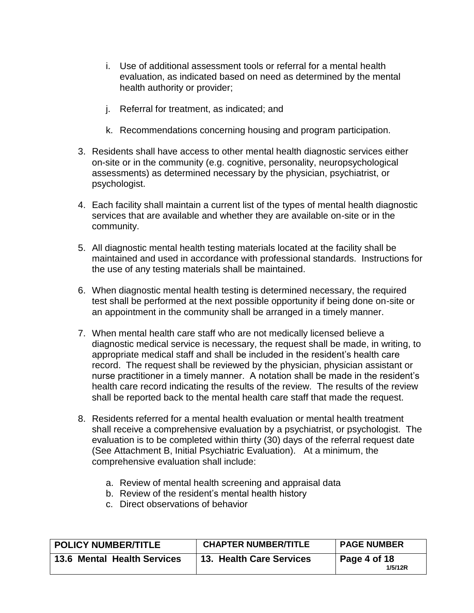- i. Use of additional assessment tools or referral for a mental health evaluation, as indicated based on need as determined by the mental health authority or provider;
- j. Referral for treatment, as indicated; and
- k. Recommendations concerning housing and program participation.
- 3. Residents shall have access to other mental health diagnostic services either on-site or in the community (e.g. cognitive, personality, neuropsychological assessments) as determined necessary by the physician, psychiatrist, or psychologist.
- 4. Each facility shall maintain a current list of the types of mental health diagnostic services that are available and whether they are available on-site or in the community.
- 5. All diagnostic mental health testing materials located at the facility shall be maintained and used in accordance with professional standards. Instructions for the use of any testing materials shall be maintained.
- 6. When diagnostic mental health testing is determined necessary, the required test shall be performed at the next possible opportunity if being done on-site or an appointment in the community shall be arranged in a timely manner.
- 7. When mental health care staff who are not medically licensed believe a diagnostic medical service is necessary, the request shall be made, in writing, to appropriate medical staff and shall be included in the resident's health care record. The request shall be reviewed by the physician, physician assistant or nurse practitioner in a timely manner. A notation shall be made in the resident's health care record indicating the results of the review. The results of the review shall be reported back to the mental health care staff that made the request.
- 8. Residents referred for a mental health evaluation or mental health treatment shall receive a comprehensive evaluation by a psychiatrist, or psychologist. The evaluation is to be completed within thirty (30) days of the referral request date (See Attachment B, Initial Psychiatric Evaluation). At a minimum, the comprehensive evaluation shall include:
	- a. Review of mental health screening and appraisal data
	- b. Review of the resident's mental health history
	- c. Direct observations of behavior

| <b>POLICY NUMBER/TITLE</b>  | <b>CHAPTER NUMBER/TITLE</b> | <b>PAGE NUMBER</b>                     |
|-----------------------------|-----------------------------|----------------------------------------|
| 13.6 Mental Health Services | 13. Health Care Services    | $\overline{ }$ Page 4 of 18<br>1/5/12R |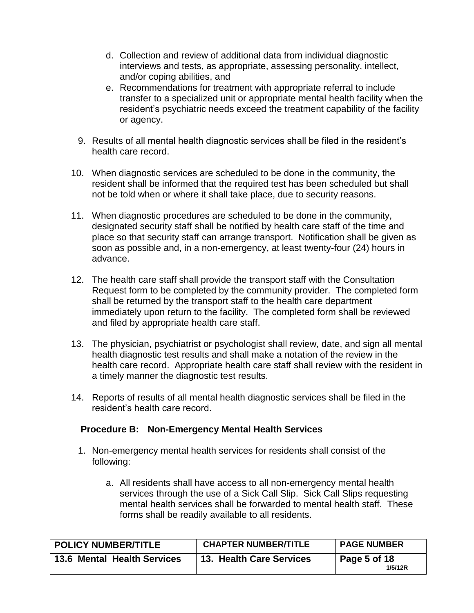- d. Collection and review of additional data from individual diagnostic interviews and tests, as appropriate, assessing personality, intellect, and/or coping abilities, and
- e. Recommendations for treatment with appropriate referral to include transfer to a specialized unit or appropriate mental health facility when the resident's psychiatric needs exceed the treatment capability of the facility or agency.
- 9. Results of all mental health diagnostic services shall be filed in the resident's health care record.
- 10. When diagnostic services are scheduled to be done in the community, the resident shall be informed that the required test has been scheduled but shall not be told when or where it shall take place, due to security reasons.
- 11. When diagnostic procedures are scheduled to be done in the community, designated security staff shall be notified by health care staff of the time and place so that security staff can arrange transport. Notification shall be given as soon as possible and, in a non-emergency, at least twenty-four (24) hours in advance.
- 12. The health care staff shall provide the transport staff with the Consultation Request form to be completed by the community provider. The completed form shall be returned by the transport staff to the health care department immediately upon return to the facility. The completed form shall be reviewed and filed by appropriate health care staff.
- 13. The physician, psychiatrist or psychologist shall review, date, and sign all mental health diagnostic test results and shall make a notation of the review in the health care record. Appropriate health care staff shall review with the resident in a timely manner the diagnostic test results.
- 14. Reports of results of all mental health diagnostic services shall be filed in the resident's health care record.

## **Procedure B: Non-Emergency Mental Health Services**

- 1. Non-emergency mental health services for residents shall consist of the following:
	- a. All residents shall have access to all non-emergency mental health services through the use of a Sick Call Slip. Sick Call Slips requesting mental health services shall be forwarded to mental health staff. These forms shall be readily available to all residents.

| <b>POLICY NUMBER/TITLE</b>         | <b>CHAPTER NUMBER/TITLE</b> | <b>PAGE NUMBER</b>      |
|------------------------------------|-----------------------------|-------------------------|
| <b>13.6 Mental Health Services</b> | 13. Health Care Services    | Page 5 of 18<br>1/5/12R |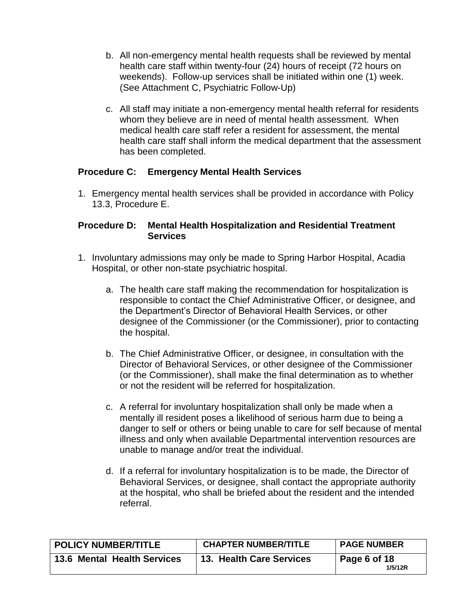- b. All non-emergency mental health requests shall be reviewed by mental health care staff within twenty-four (24) hours of receipt (72 hours on weekends). Follow-up services shall be initiated within one (1) week. (See Attachment C, Psychiatric Follow-Up)
- c. All staff may initiate a non-emergency mental health referral for residents whom they believe are in need of mental health assessment. When medical health care staff refer a resident for assessment, the mental health care staff shall inform the medical department that the assessment has been completed.

#### **Procedure C: Emergency Mental Health Services**

1. Emergency mental health services shall be provided in accordance with Policy 13.3, Procedure E.

#### **Procedure D: Mental Health Hospitalization and Residential Treatment Services**

- 1. Involuntary admissions may only be made to Spring Harbor Hospital, Acadia Hospital, or other non-state psychiatric hospital.
	- a. The health care staff making the recommendation for hospitalization is responsible to contact the Chief Administrative Officer, or designee, and the Department's Director of Behavioral Health Services, or other designee of the Commissioner (or the Commissioner), prior to contacting the hospital.
	- b. The Chief Administrative Officer, or designee, in consultation with the Director of Behavioral Services, or other designee of the Commissioner (or the Commissioner), shall make the final determination as to whether or not the resident will be referred for hospitalization.
	- c. A referral for involuntary hospitalization shall only be made when a mentally ill resident poses a likelihood of serious harm due to being a danger to self or others or being unable to care for self because of mental illness and only when available Departmental intervention resources are unable to manage and/or treat the individual.
	- d. If a referral for involuntary hospitalization is to be made, the Director of Behavioral Services, or designee, shall contact the appropriate authority at the hospital, who shall be briefed about the resident and the intended referral.

| <b>POLICY NUMBER/TITLE</b>         | <b>CHAPTER NUMBER/TITLE</b> | <b>PAGE NUMBER</b>      |
|------------------------------------|-----------------------------|-------------------------|
| <b>13.6 Mental Health Services</b> | 13. Health Care Services    | Page 6 of 18<br>1/5/12R |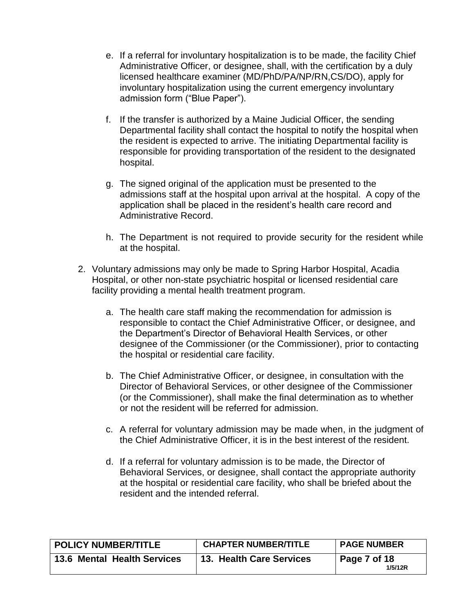- e. If a referral for involuntary hospitalization is to be made, the facility Chief Administrative Officer, or designee, shall, with the certification by a duly licensed healthcare examiner (MD/PhD/PA/NP/RN,CS/DO), apply for involuntary hospitalization using the current emergency involuntary admission form ("Blue Paper").
- f. If the transfer is authorized by a Maine Judicial Officer, the sending Departmental facility shall contact the hospital to notify the hospital when the resident is expected to arrive. The initiating Departmental facility is responsible for providing transportation of the resident to the designated hospital.
- g. The signed original of the application must be presented to the admissions staff at the hospital upon arrival at the hospital. A copy of the application shall be placed in the resident's health care record and Administrative Record.
- h. The Department is not required to provide security for the resident while at the hospital.
- 2. Voluntary admissions may only be made to Spring Harbor Hospital, Acadia Hospital, or other non-state psychiatric hospital or licensed residential care facility providing a mental health treatment program.
	- a. The health care staff making the recommendation for admission is responsible to contact the Chief Administrative Officer, or designee, and the Department's Director of Behavioral Health Services, or other designee of the Commissioner (or the Commissioner), prior to contacting the hospital or residential care facility.
	- b. The Chief Administrative Officer, or designee, in consultation with the Director of Behavioral Services, or other designee of the Commissioner (or the Commissioner), shall make the final determination as to whether or not the resident will be referred for admission.
	- c. A referral for voluntary admission may be made when, in the judgment of the Chief Administrative Officer, it is in the best interest of the resident.
	- d. If a referral for voluntary admission is to be made, the Director of Behavioral Services, or designee, shall contact the appropriate authority at the hospital or residential care facility, who shall be briefed about the resident and the intended referral.

| <b>POLICY NUMBER/TITLE</b>         | <b>CHAPTER NUMBER/TITLE</b> | <b>PAGE NUMBER</b>      |
|------------------------------------|-----------------------------|-------------------------|
| <b>13.6 Mental Health Services</b> | 13. Health Care Services    | Page 7 of 18<br>1/5/12R |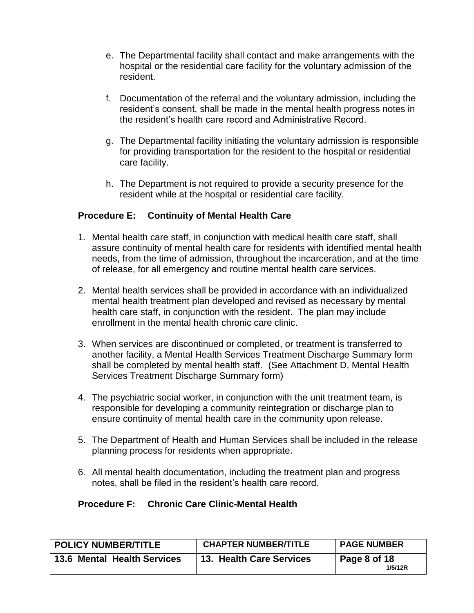- e. The Departmental facility shall contact and make arrangements with the hospital or the residential care facility for the voluntary admission of the resident.
- f. Documentation of the referral and the voluntary admission, including the resident's consent, shall be made in the mental health progress notes in the resident's health care record and Administrative Record.
- g. The Departmental facility initiating the voluntary admission is responsible for providing transportation for the resident to the hospital or residential care facility.
- h. The Department is not required to provide a security presence for the resident while at the hospital or residential care facility.

## **Procedure E: Continuity of Mental Health Care**

- 1. Mental health care staff, in conjunction with medical health care staff, shall assure continuity of mental health care for residents with identified mental health needs, from the time of admission, throughout the incarceration, and at the time of release, for all emergency and routine mental health care services.
- 2. Mental health services shall be provided in accordance with an individualized mental health treatment plan developed and revised as necessary by mental health care staff, in conjunction with the resident. The plan may include enrollment in the mental health chronic care clinic.
- 3. When services are discontinued or completed, or treatment is transferred to another facility, a Mental Health Services Treatment Discharge Summary form shall be completed by mental health staff. (See Attachment D, Mental Health Services Treatment Discharge Summary form)
- 4. The psychiatric social worker, in conjunction with the unit treatment team, is responsible for developing a community reintegration or discharge plan to ensure continuity of mental health care in the community upon release.
- 5. The Department of Health and Human Services shall be included in the release planning process for residents when appropriate.
- 6. All mental health documentation, including the treatment plan and progress notes, shall be filed in the resident's health care record.

## **Procedure F: Chronic Care Clinic-Mental Health**

| <b>POLICY NUMBER/TITLE</b>         | <b>CHAPTER NUMBER/TITLE</b> | <b>PAGE NUMBER</b>      |
|------------------------------------|-----------------------------|-------------------------|
| <b>13.6 Mental Health Services</b> | 13. Health Care Services    | Page 8 of 18<br>1/5/12R |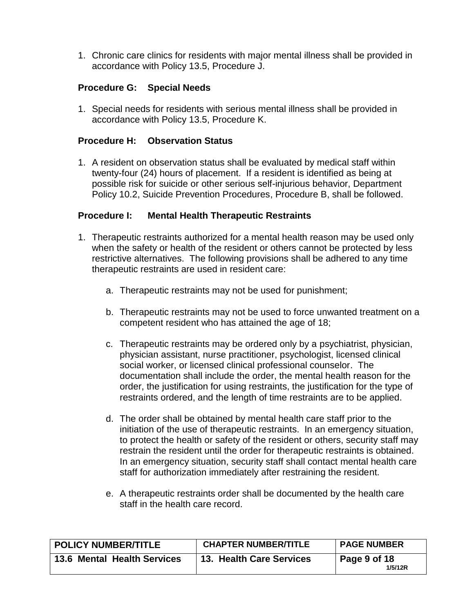1. Chronic care clinics for residents with major mental illness shall be provided in accordance with Policy 13.5, Procedure J.

### **Procedure G: Special Needs**

1. Special needs for residents with serious mental illness shall be provided in accordance with Policy 13.5, Procedure K.

#### **Procedure H: Observation Status**

1. A resident on observation status shall be evaluated by medical staff within twenty-four (24) hours of placement. If a resident is identified as being at possible risk for suicide or other serious self-injurious behavior, Department Policy 10.2, Suicide Prevention Procedures, Procedure B, shall be followed.

#### **Procedure I: Mental Health Therapeutic Restraints**

- 1. Therapeutic restraints authorized for a mental health reason may be used only when the safety or health of the resident or others cannot be protected by less restrictive alternatives. The following provisions shall be adhered to any time therapeutic restraints are used in resident care:
	- a. Therapeutic restraints may not be used for punishment;
	- b. Therapeutic restraints may not be used to force unwanted treatment on a competent resident who has attained the age of 18;
	- c. Therapeutic restraints may be ordered only by a psychiatrist, physician, physician assistant, nurse practitioner, psychologist, licensed clinical social worker, or licensed clinical professional counselor. The documentation shall include the order, the mental health reason for the order, the justification for using restraints, the justification for the type of restraints ordered, and the length of time restraints are to be applied.
	- d. The order shall be obtained by mental health care staff prior to the initiation of the use of therapeutic restraints. In an emergency situation, to protect the health or safety of the resident or others, security staff may restrain the resident until the order for therapeutic restraints is obtained. In an emergency situation, security staff shall contact mental health care staff for authorization immediately after restraining the resident.
	- e. A therapeutic restraints order shall be documented by the health care staff in the health care record.

| <b>POLICY NUMBER/TITLE</b>         | <b>CHAPTER NUMBER/TITLE</b> | <b>PAGE NUMBER</b>      |
|------------------------------------|-----------------------------|-------------------------|
| <b>13.6 Mental Health Services</b> | 13. Health Care Services    | Page 9 of 18<br>1/5/12R |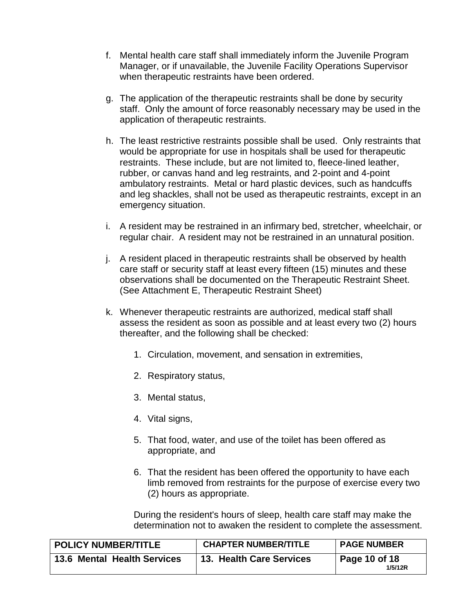- f. Mental health care staff shall immediately inform the Juvenile Program Manager, or if unavailable, the Juvenile Facility Operations Supervisor when therapeutic restraints have been ordered.
- g. The application of the therapeutic restraints shall be done by security staff. Only the amount of force reasonably necessary may be used in the application of therapeutic restraints.
- h. The least restrictive restraints possible shall be used. Only restraints that would be appropriate for use in hospitals shall be used for therapeutic restraints. These include, but are not limited to, fleece-lined leather, rubber, or canvas hand and leg restraints, and 2-point and 4-point ambulatory restraints. Metal or hard plastic devices, such as handcuffs and leg shackles, shall not be used as therapeutic restraints, except in an emergency situation.
- i. A resident may be restrained in an infirmary bed, stretcher, wheelchair, or regular chair. A resident may not be restrained in an unnatural position.
- j. A resident placed in therapeutic restraints shall be observed by health care staff or security staff at least every fifteen (15) minutes and these observations shall be documented on the Therapeutic Restraint Sheet. (See Attachment E, Therapeutic Restraint Sheet)
- k. Whenever therapeutic restraints are authorized, medical staff shall assess the resident as soon as possible and at least every two (2) hours thereafter, and the following shall be checked:
	- 1. Circulation, movement, and sensation in extremities,
	- 2. Respiratory status,
	- 3. Mental status,
	- 4. Vital signs,
	- 5. That food, water, and use of the toilet has been offered as appropriate, and
	- 6. That the resident has been offered the opportunity to have each limb removed from restraints for the purpose of exercise every two (2) hours as appropriate.

During the resident's hours of sleep, health care staff may make the determination not to awaken the resident to complete the assessment.

| <b>POLICY NUMBER/TITLE</b>         | <b>CHAPTER NUMBER/TITLE</b>     | <b>PAGE NUMBER</b>                      |
|------------------------------------|---------------------------------|-----------------------------------------|
| <b>13.6 Mental Health Services</b> | <b>13. Health Care Services</b> | $\overline{ }$ Page 10 of 18<br>1/5/12R |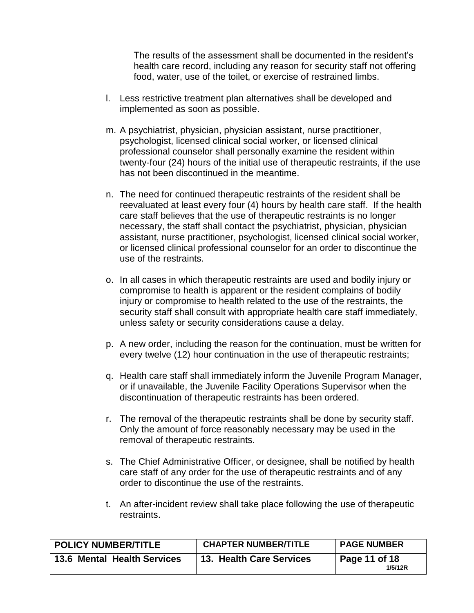The results of the assessment shall be documented in the resident's health care record, including any reason for security staff not offering food, water, use of the toilet, or exercise of restrained limbs.

- l. Less restrictive treatment plan alternatives shall be developed and implemented as soon as possible.
- m. A psychiatrist, physician, physician assistant, nurse practitioner, psychologist, licensed clinical social worker, or licensed clinical professional counselor shall personally examine the resident within twenty-four (24) hours of the initial use of therapeutic restraints, if the use has not been discontinued in the meantime.
- n. The need for continued therapeutic restraints of the resident shall be reevaluated at least every four (4) hours by health care staff. If the health care staff believes that the use of therapeutic restraints is no longer necessary, the staff shall contact the psychiatrist, physician, physician assistant, nurse practitioner, psychologist, licensed clinical social worker, or licensed clinical professional counselor for an order to discontinue the use of the restraints.
- o. In all cases in which therapeutic restraints are used and bodily injury or compromise to health is apparent or the resident complains of bodily injury or compromise to health related to the use of the restraints, the security staff shall consult with appropriate health care staff immediately, unless safety or security considerations cause a delay.
- p. A new order, including the reason for the continuation, must be written for every twelve (12) hour continuation in the use of therapeutic restraints;
- q. Health care staff shall immediately inform the Juvenile Program Manager, or if unavailable, the Juvenile Facility Operations Supervisor when the discontinuation of therapeutic restraints has been ordered.
- r. The removal of the therapeutic restraints shall be done by security staff. Only the amount of force reasonably necessary may be used in the removal of therapeutic restraints.
- s. The Chief Administrative Officer, or designee, shall be notified by health care staff of any order for the use of therapeutic restraints and of any order to discontinue the use of the restraints.
- t. An after-incident review shall take place following the use of therapeutic restraints.

| <b>POLICY NUMBER/TITLE</b>  | <b>CHAPTER NUMBER/TITLE</b> | <b>PAGE NUMBER</b>       |
|-----------------------------|-----------------------------|--------------------------|
| 13.6 Mental Health Services | 13. Health Care Services    | Page 11 of 18<br>1/5/12R |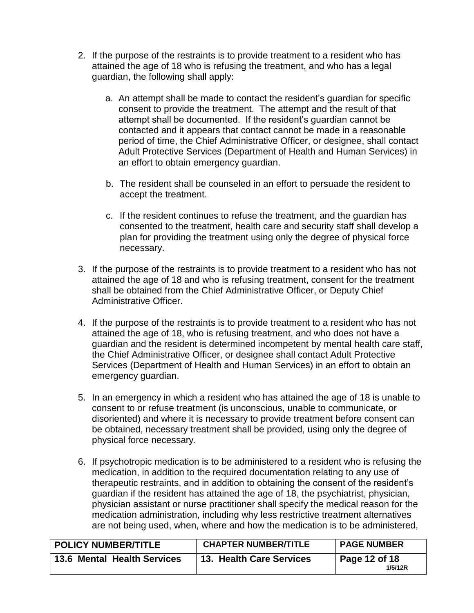- 2. If the purpose of the restraints is to provide treatment to a resident who has attained the age of 18 who is refusing the treatment, and who has a legal guardian, the following shall apply:
	- a. An attempt shall be made to contact the resident's guardian for specific consent to provide the treatment. The attempt and the result of that attempt shall be documented. If the resident's guardian cannot be contacted and it appears that contact cannot be made in a reasonable period of time, the Chief Administrative Officer, or designee, shall contact Adult Protective Services (Department of Health and Human Services) in an effort to obtain emergency guardian.
	- b. The resident shall be counseled in an effort to persuade the resident to accept the treatment.
	- c. If the resident continues to refuse the treatment, and the guardian has consented to the treatment, health care and security staff shall develop a plan for providing the treatment using only the degree of physical force necessary.
- 3. If the purpose of the restraints is to provide treatment to a resident who has not attained the age of 18 and who is refusing treatment, consent for the treatment shall be obtained from the Chief Administrative Officer, or Deputy Chief Administrative Officer.
- 4. If the purpose of the restraints is to provide treatment to a resident who has not attained the age of 18, who is refusing treatment, and who does not have a guardian and the resident is determined incompetent by mental health care staff, the Chief Administrative Officer, or designee shall contact Adult Protective Services (Department of Health and Human Services) in an effort to obtain an emergency guardian.
- 5. In an emergency in which a resident who has attained the age of 18 is unable to consent to or refuse treatment (is unconscious, unable to communicate, or disoriented) and where it is necessary to provide treatment before consent can be obtained, necessary treatment shall be provided, using only the degree of physical force necessary.
- 6. If psychotropic medication is to be administered to a resident who is refusing the medication, in addition to the required documentation relating to any use of therapeutic restraints, and in addition to obtaining the consent of the resident's guardian if the resident has attained the age of 18, the psychiatrist, physician, physician assistant or nurse practitioner shall specify the medical reason for the medication administration, including why less restrictive treatment alternatives are not being used, when, where and how the medication is to be administered,

| <b>POLICY NUMBER/TITLE</b>         | <b>CHAPTER NUMBER/TITLE</b>     | <b>PAGE NUMBER</b>       |
|------------------------------------|---------------------------------|--------------------------|
| <b>13.6 Mental Health Services</b> | <b>13. Health Care Services</b> | Page 12 of 18<br>1/5/12R |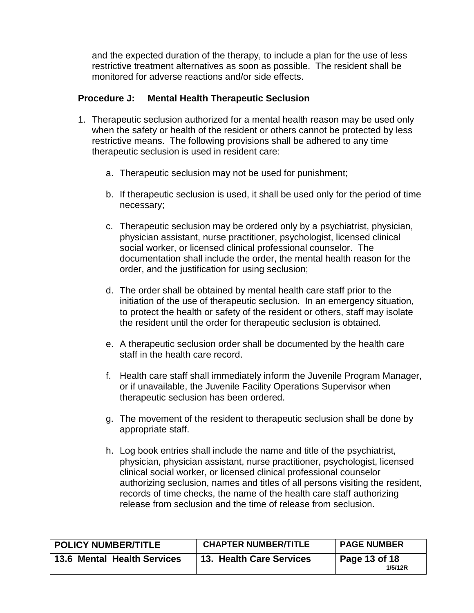and the expected duration of the therapy, to include a plan for the use of less restrictive treatment alternatives as soon as possible. The resident shall be monitored for adverse reactions and/or side effects.

### **Procedure J: Mental Health Therapeutic Seclusion**

- 1. Therapeutic seclusion authorized for a mental health reason may be used only when the safety or health of the resident or others cannot be protected by less restrictive means. The following provisions shall be adhered to any time therapeutic seclusion is used in resident care:
	- a. Therapeutic seclusion may not be used for punishment;
	- b. If therapeutic seclusion is used, it shall be used only for the period of time necessary;
	- c. Therapeutic seclusion may be ordered only by a psychiatrist, physician, physician assistant, nurse practitioner, psychologist, licensed clinical social worker, or licensed clinical professional counselor. The documentation shall include the order, the mental health reason for the order, and the justification for using seclusion;
	- d. The order shall be obtained by mental health care staff prior to the initiation of the use of therapeutic seclusion. In an emergency situation, to protect the health or safety of the resident or others, staff may isolate the resident until the order for therapeutic seclusion is obtained.
	- e. A therapeutic seclusion order shall be documented by the health care staff in the health care record.
	- f. Health care staff shall immediately inform the Juvenile Program Manager, or if unavailable, the Juvenile Facility Operations Supervisor when therapeutic seclusion has been ordered.
	- g. The movement of the resident to therapeutic seclusion shall be done by appropriate staff.
	- h. Log book entries shall include the name and title of the psychiatrist, physician, physician assistant, nurse practitioner, psychologist, licensed clinical social worker, or licensed clinical professional counselor authorizing seclusion, names and titles of all persons visiting the resident, records of time checks, the name of the health care staff authorizing release from seclusion and the time of release from seclusion.

| <b>POLICY NUMBER/TITLE</b>         | <b>CHAPTER NUMBER/TITLE</b> | <b>PAGE NUMBER</b>       |
|------------------------------------|-----------------------------|--------------------------|
| <b>13.6 Mental Health Services</b> | 13. Health Care Services    | Page 13 of 18<br>1/5/12R |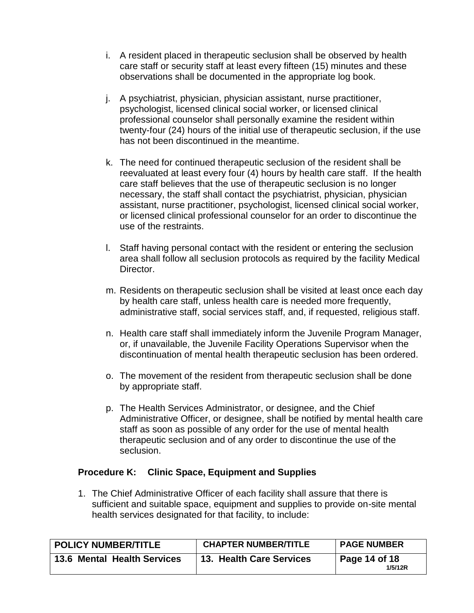- i. A resident placed in therapeutic seclusion shall be observed by health care staff or security staff at least every fifteen (15) minutes and these observations shall be documented in the appropriate log book.
- j. A psychiatrist, physician, physician assistant, nurse practitioner, psychologist, licensed clinical social worker, or licensed clinical professional counselor shall personally examine the resident within twenty-four (24) hours of the initial use of therapeutic seclusion, if the use has not been discontinued in the meantime.
- k. The need for continued therapeutic seclusion of the resident shall be reevaluated at least every four (4) hours by health care staff. If the health care staff believes that the use of therapeutic seclusion is no longer necessary, the staff shall contact the psychiatrist, physician, physician assistant, nurse practitioner, psychologist, licensed clinical social worker, or licensed clinical professional counselor for an order to discontinue the use of the restraints.
- l. Staff having personal contact with the resident or entering the seclusion area shall follow all seclusion protocols as required by the facility Medical Director.
- m. Residents on therapeutic seclusion shall be visited at least once each day by health care staff, unless health care is needed more frequently, administrative staff, social services staff, and, if requested, religious staff.
- n. Health care staff shall immediately inform the Juvenile Program Manager, or, if unavailable, the Juvenile Facility Operations Supervisor when the discontinuation of mental health therapeutic seclusion has been ordered.
- o. The movement of the resident from therapeutic seclusion shall be done by appropriate staff.
- p. The Health Services Administrator, or designee, and the Chief Administrative Officer, or designee, shall be notified by mental health care staff as soon as possible of any order for the use of mental health therapeutic seclusion and of any order to discontinue the use of the seclusion.

#### **Procedure K: Clinic Space, Equipment and Supplies**

1. The Chief Administrative Officer of each facility shall assure that there is sufficient and suitable space, equipment and supplies to provide on-site mental health services designated for that facility, to include:

| <b>POLICY NUMBER/TITLE</b>  | <b>CHAPTER NUMBER/TITLE</b> | <b>PAGE NUMBER</b>       |
|-----------------------------|-----------------------------|--------------------------|
| 13.6 Mental Health Services | 13. Health Care Services    | Page 14 of 18<br>1/5/12R |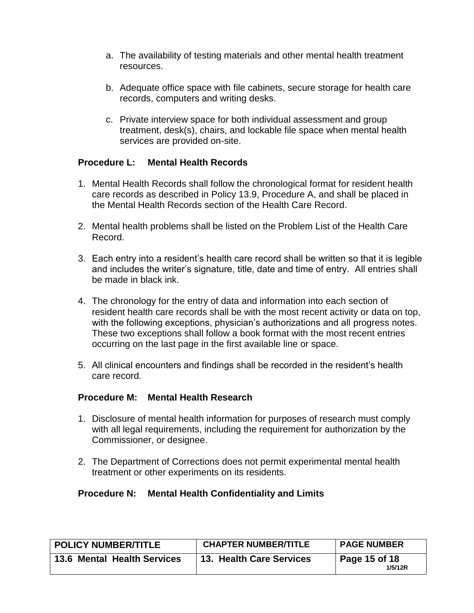- a. The availability of testing materials and other mental health treatment resources.
- b. Adequate office space with file cabinets, secure storage for health care records, computers and writing desks.
- c. Private interview space for both individual assessment and group treatment, desk(s), chairs, and lockable file space when mental health services are provided on-site.

## **Procedure L: Mental Health Records**

- 1. Mental Health Records shall follow the chronological format for resident health care records as described in Policy 13.9, Procedure A, and shall be placed in the Mental Health Records section of the Health Care Record.
- 2. Mental health problems shall be listed on the Problem List of the Health Care Record.
- 3. Each entry into a resident's health care record shall be written so that it is legible and includes the writer's signature, title, date and time of entry. All entries shall be made in black ink.
- 4. The chronology for the entry of data and information into each section of resident health care records shall be with the most recent activity or data on top, with the following exceptions, physician's authorizations and all progress notes. These two exceptions shall follow a book format with the most recent entries occurring on the last page in the first available line or space.
- 5. All clinical encounters and findings shall be recorded in the resident's health care record.

## **Procedure M: Mental Health Research**

- 1. Disclosure of mental health information for purposes of research must comply with all legal requirements, including the requirement for authorization by the Commissioner, or designee.
- 2. The Department of Corrections does not permit experimental mental health treatment or other experiments on its residents.

## **Procedure N: Mental Health Confidentiality and Limits**

| <b>POLICY NUMBER/TITLE</b>         | <b>CHAPTER NUMBER/TITLE</b> | <b>PAGE NUMBER</b>       |
|------------------------------------|-----------------------------|--------------------------|
| <b>13.6 Mental Health Services</b> | 13. Health Care Services    | Page 15 of 18<br>1/5/12R |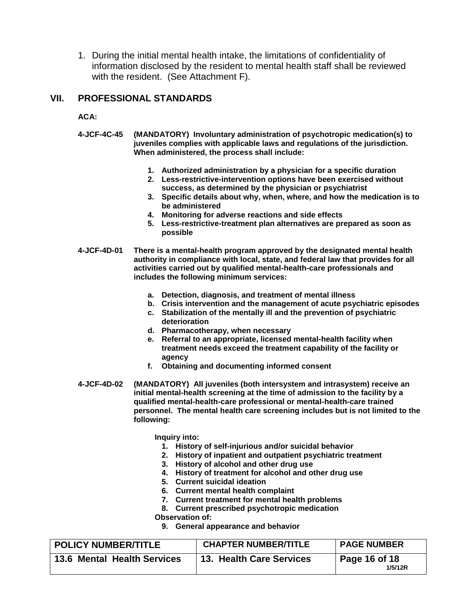1. During the initial mental health intake, the limitations of confidentiality of information disclosed by the resident to mental health staff shall be reviewed with the resident. (See Attachment F).

#### **VII. PROFESSIONAL STANDARDS**

**ACA:**

- **4-JCF-4C-45 (MANDATORY) Involuntary administration of psychotropic medication(s) to juveniles complies with applicable laws and regulations of the jurisdiction. When administered, the process shall include:**
	- **1. Authorized administration by a physician for a specific duration**
	- **2. Less-restrictive-intervention options have been exercised without success, as determined by the physician or psychiatrist**
	- **3. Specific details about why, when, where, and how the medication is to be administered**
	- **4. Monitoring for adverse reactions and side effects**
	- **5. Less-restrictive-treatment plan alternatives are prepared as soon as possible**
- **4-JCF-4D-01 There is a mental-health program approved by the designated mental health authority in compliance with local, state, and federal law that provides for all activities carried out by qualified mental-health-care professionals and includes the following minimum services:**
	- **a. Detection, diagnosis, and treatment of mental illness**
	- **b. Crisis intervention and the management of acute psychiatric episodes**
	- **c. Stabilization of the mentally ill and the prevention of psychiatric deterioration**
	- **d. Pharmacotherapy, when necessary**
	- **e. Referral to an appropriate, licensed mental-health facility when treatment needs exceed the treatment capability of the facility or agency**
	- **f. Obtaining and documenting informed consent**
- **4-JCF-4D-02 (MANDATORY) All juveniles (both intersystem and intrasystem) receive an initial mental-health screening at the time of admission to the facility by a qualified mental-health-care professional or mental-health-care trained personnel. The mental health care screening includes but is not limited to the following:**

**Inquiry into:**

- **1. History of self-injurious and/or suicidal behavior**
- **2. History of inpatient and outpatient psychiatric treatment**
- **3. History of alcohol and other drug use**
- **4. History of treatment for alcohol and other drug use**
- **5. Current suicidal ideation**
- **6. Current mental health complaint**
- **7. Current treatment for mental health problems**
- **8. Current prescribed psychotropic medication**
- **Observation of:**
	- **9. General appearance and behavior**

| POLICY NUMBER/TITLE         | <b>CHAPTER NUMBER/TITLE</b> | <b>PAGE NUMBER</b>       |
|-----------------------------|-----------------------------|--------------------------|
| 13.6 Mental Health Services | 13. Health Care Services    | Page 16 of 18<br>1/5/12R |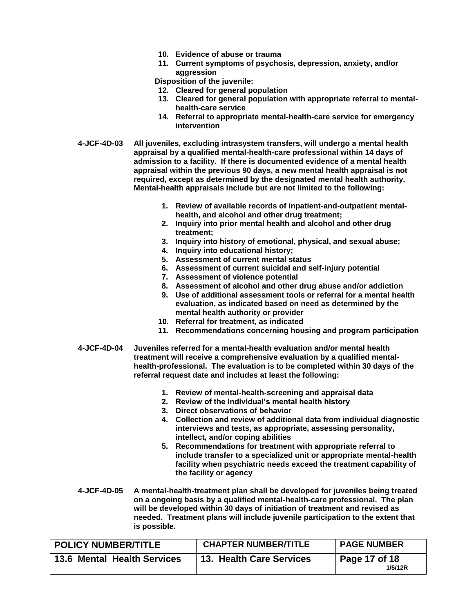- **10. Evidence of abuse or trauma**
- **11. Current symptoms of psychosis, depression, anxiety, and/or aggression**

**Disposition of the juvenile:**

- **12. Cleared for general population**
- **13. Cleared for general population with appropriate referral to mentalhealth-care service**
- **14. Referral to appropriate mental-health-care service for emergency intervention**
- **4-JCF-4D-03 All juveniles, excluding intrasystem transfers, will undergo a mental health appraisal by a qualified mental-health-care professional within 14 days of admission to a facility. If there is documented evidence of a mental health appraisal within the previous 90 days, a new mental health appraisal is not required, except as determined by the designated mental health authority. Mental-health appraisals include but are not limited to the following:**
	- **1. Review of available records of inpatient-and-outpatient mentalhealth, and alcohol and other drug treatment;**
	- **2. Inquiry into prior mental health and alcohol and other drug treatment;**
	- **3. Inquiry into history of emotional, physical, and sexual abuse;**
	- **4. Inquiry into educational history;**
	- **5. Assessment of current mental status**
	- **6. Assessment of current suicidal and self-injury potential**
	- **7. Assessment of violence potential**
	- **8. Assessment of alcohol and other drug abuse and/or addiction**
	- **9. Use of additional assessment tools or referral for a mental health evaluation, as indicated based on need as determined by the mental health authority or provider**
	- **10. Referral for treatment, as indicated**
	- **11. Recommendations concerning housing and program participation**
- **4-JCF-4D-04 Juveniles referred for a mental-health evaluation and/or mental health treatment will receive a comprehensive evaluation by a qualified mentalhealth-professional. The evaluation is to be completed within 30 days of the referral request date and includes at least the following:**
	- **1. Review of mental-health-screening and appraisal data**
	- **2. Review of the individual's mental health history**
	- **3. Direct observations of behavior**
	- **4. Collection and review of additional data from individual diagnostic interviews and tests, as appropriate, assessing personality, intellect, and/or coping abilities**
	- **5. Recommendations for treatment with appropriate referral to include transfer to a specialized unit or appropriate mental-health facility when psychiatric needs exceed the treatment capability of the facility or agency**
- **4-JCF-4D-05 A mental-health-treatment plan shall be developed for juveniles being treated on a ongoing basis by a qualified mental-health-care professional. The plan will be developed within 30 days of initiation of treatment and revised as needed. Treatment plans will include juvenile participation to the extent that is possible.**

| <b>POLICY NUMBER/TITLE</b>  | <b>CHAPTER NUMBER/TITLE</b> | <b>PAGE NUMBER</b>       |
|-----------------------------|-----------------------------|--------------------------|
| 13.6 Mental Health Services | 13. Health Care Services    | Page 17 of 18<br>1/5/12R |